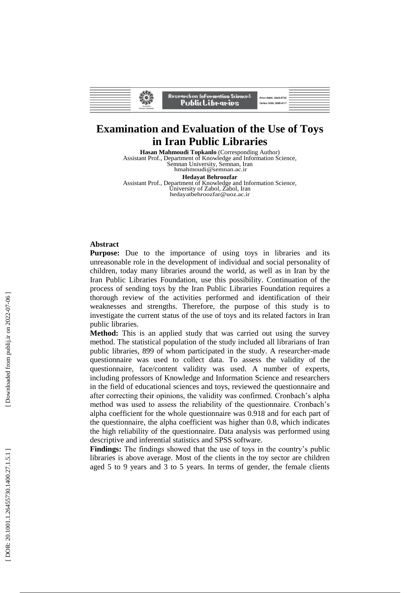| Research on InFormation Science $\ell$<br>Print ISSN: 2645-5730<br>PublicLibrarips'<br>Online ISSN: 2645-6117<br><b>Iran Public</b><br><b>Herseles Foundation</b> |  |  |  |  |  |
|-------------------------------------------------------------------------------------------------------------------------------------------------------------------|--|--|--|--|--|
|-------------------------------------------------------------------------------------------------------------------------------------------------------------------|--|--|--|--|--|

# **Examination and Evaluation of the Use of Toys in Iran Public Libraries**

**Hasan Mahmoudi Topkanlo** (Corresponding Author) Assistant Prof., Department of Knowledge and Information Science, Semnan University, Semnan, Iran hmahmoudi@semnan.ac.ir **Hedayat Behroozfar**

Assistant Prof., Department of Knowledge and Information Science, University of Zabol, Zabol, Iran hedayatbehroozfar@uoz.ac.ir

#### **Abstract**

**Purpose:** Due to the importance of using toys in libraries and its unreasonable role in the development of individual and social personality of children, today many libraries around the world, as well as in Iran by the Iran Public Libraries Foundation, use this possibility. Continuation of the process of sending toys by the Iran Public Libraries Foundation requires a thorough review of the activities performed and identification of their weaknesses and strengths. Therefore, the purpose of this study is to investigate the current status of the use of toys and its related factors in Iran public libraries.

**Method:** This is an applied study that was carried out using the survey method. The statistical population of the study included all librarians of Iran public libraries, 899 of whom participated in the study. A researcher -made questionnaire was used to collect data. To assess the validity of the questionnaire, face/content validity was used. A number of experts, including professors of Knowledge and Information Science and researchers in the field of educational sciences and toys, reviewed the questionnaire and after correcting their opinions, the validity was confirmed. Cronbach's alpha method was used to assess the reliability of the questionnaire. Cronbach's alpha coefficient for the whole questionnaire was 0.918 and for each part of the questionnaire, the alpha coefficient was higher than 0.8, which indicates the high reliability of the questionnaire. Data analysis was performed using descriptive and inferential statistics and SPSS software.

**Findings:** The findings showed that the use of toys in the country's public libraries is above average. Most of the clients in the toy sector are children aged 5 to 9 years and 3 to 5 years. In terms of gender, the female clients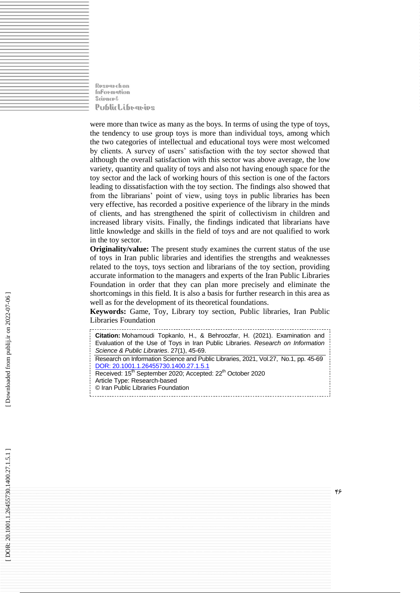Rosparchon **Information Science &** PublicLibraries

were more than twice as many as the boys. In terms of using the type of toys, the tendency to use group toys is more than individual toys, among which the two categories of intellectual and educational toys were most welcomed by clients. A survey of users' satisfaction with the toy sector showed that although the overall satisfaction with this sector was above average, the low variety, quantity and quality of toys and also not having enough space for the toy sector and the lack of working hours of this section is one of the factors leading to dissatisfaction with the toy section. The findings also showed that from the librarians' point of view, using toys in public libraries has been very effective, has recorded a positive experience of the library in the minds of clients, and has strengthened the spirit of collectivism in children and increased library visits. Finally, the findings indicated that librarians have little knowledge and skills in the field of toys and are not qualified to work in the toy sector.

**Originality/value:** The present study examines the current status of the use of toys in Iran public libraries and identifies the strengths and weaknesses related to the toys, toys section and librarians of the toy section, providing accurate information to the managers and experts of the Iran Public Libraries Foundation in order that they can plan more precisely and eliminate the shortcomings in this field. It is also a basis for further research in this area as well as for the development of its theoretical foundations.

**Keywords:** Game, Toy, Library toy section, Public libraries, Iran Public Libraries Foundation

| Citation: Mohamoudi Topkanlo, H., & Behroozfar, H. (2021). Examination and<br>Evaluation of the Use of Toys in Iran Public Libraries. Research on Information<br>Science & Public Libraries. 27(1), 45-69.                                                                               |
|------------------------------------------------------------------------------------------------------------------------------------------------------------------------------------------------------------------------------------------------------------------------------------------|
| Research on Information Science and Public Libraries, 2021, Vol.27, No.1, pp. 45-69<br>DOR: 20.1001.1.26455730.1400.27.1.5.1<br>Received: 15 <sup>th</sup> September 2020; Accepted: 22 <sup>th</sup> October 2020<br>Article Type: Research-based<br>© Iran Public Libraries Foundation |
|                                                                                                                                                                                                                                                                                          |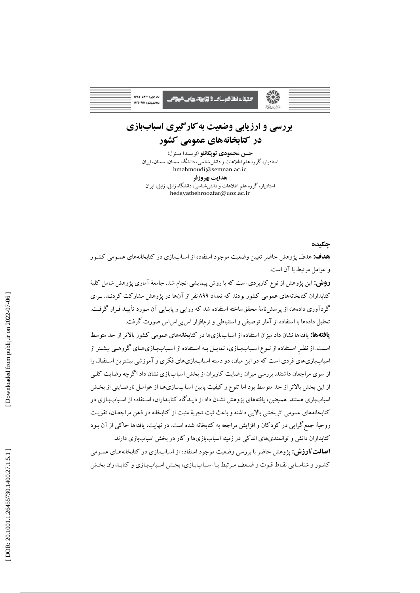| تابا جایی: ۲۶۲۵-۵۷۳۰      |
|---------------------------|
| تابا الكترونيكي: 6117-264 |
|                           |

<del>ت</del>حقیقات اطلا کوسانٹ 9 <del>تھا بن</del>انہ دیا ہے۔ <del>کرو</del> صے

# **بررسي و ارزيابي وضعيت بهكارگيري اسباببازي در كتابخانههاي عمومي كشور**

**حسن محمودي توپكانلو** )نويسندة مسئول( استاديار، گروه علم اطالعات و دانششناسي، دانشگاه سمنان، سمنان، ايران hmahmoudi@semnan.ac.ic **هدايت بهروزفر** استاديار، گروه علم اطلاعات و دانش شناسي، دانشگاه زابل، زابل، ايران

hedayatbehroozfar@uoz.ac.ir

#### **چكيده**

**هدف:** هدف پژوهش حاضر تعيين وضعيت موجود استفاده از اسباببازی در كتابخانههای عممومي كشمور و عوامل مرتبط با آن است.

**روش:** اين پژوهش از نوع كاربردی است كه با روش پيمايشي انجام شد. جامعة آماری پژوهش شام كلية كتابداران كتابخانههای عمومي كشور بودند كه تعداد 199 نفر از آنها در پژوهش مشاركت كردنمد. بمرای گردآوری دادهها، از پرسش نامهٔ محقق ساخته استفاده شد كه روايي و پايـايي آن مـورد تأييـد قـرار گرفـت. تحليل دادهها با استفاده از آمار توصيفي و استنباطي و نرمافزار اس پي اس اس صورت گرفت.

**يافتهها:** يافتهها نشان داد ميزان استفاده از اسباببازیها در كتابخانههای عمومي كشور باالتر از حد متوسش اسـت. از نظـر اسـتفاده از نـوع اسـباببـازی، تمايـل بـه اسـتفاده از اسـباببـازیهـای گروهـی بيشـتر از اسباببازیهای فردی است كه در اين ميان، دو دسته اسباببازیهای فکری و آموزشي بيشترين اسمتقبال را از سوی مراجعان داشتند. بررسي ميزان رضايت كاربران از بخش اسباببازی نشان داد اگرچه رضايت كلمي از اين بخش بالاتر از حد متوسط بود اما تنوع و كيفيت پايين اسباببازی هـا از عوامـل نارضـايتي از بخـش اسباببازی هستند. همچنين، يافتههای پژوهش نشـان داد از ديـدگاه كتابـداران، اسـتفاده از اسـباببـازی در كتابخانههای عمومي ایربخشي بااليي داشته و باعث یبت تجربة مثبت از كتابخانه در ذهن مراجعمان، تقويمت روحية جمعگرايي در كودكان و افزايش مراجعه به كتابخانه شده است. در نهايت، يافتهها حاكي از آن بمود كتابداران دانش و توانمندیهای اندكي در زمينه اسباببازیها و كار در بخش اسباببازی دارند. **اصالت/ارزش:** پژوهش حاضر با بررسي وضعيت موجود استفاده از اسباببازی در كتابخانههمای عممومي

كشور و شناسـايي نقـاط قـوت و ضـعف مـرتبط بـا اسـباببـازی، بخـش اسـباببـازی و كتابـداران بخـش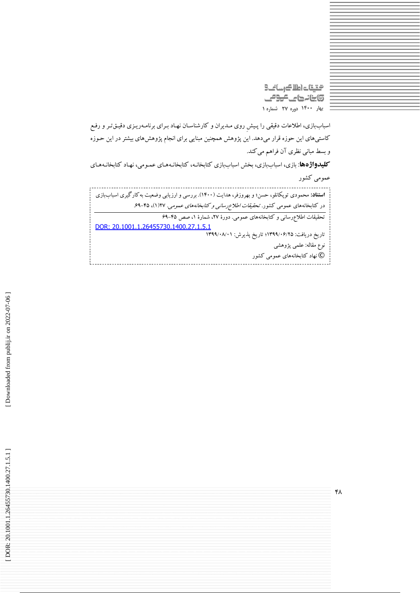الكارسا كالماد لقيقت **تابنانہ حالے کوئی بهار 0011 دوره 72 شماره 0**

اسباببازی، اطلاعات دقيقي را پـيش روی مـديران و كارشناسـان نهـاد بـرای برنامـهريـزی دقيـقتـر و رفـع كاستيهای اين حوزه قرار ميدهد. اين پژوهش همچنين مبنايي برای انجام پژوهشهای بيشتر در اين حموزه و بسش مباني نظری آن فراهم ميكند.

**كليدواژهها**: بازی، اسباببازی، بخش اسباببازی كتابخانـه، كتابخانـههـای عمـومی، نهـاد كتابخانـههـای عمومي كشور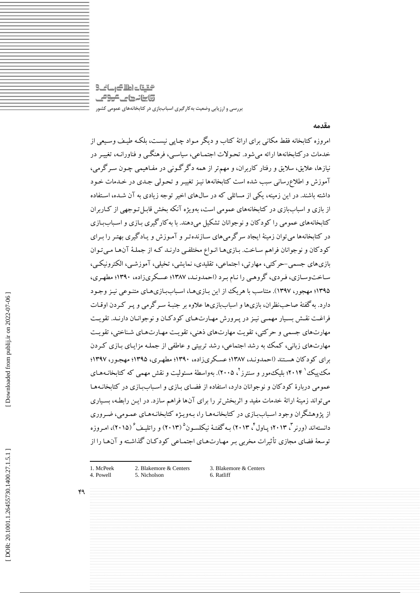التقيقات اطلاك رسانك وابنانها كالمومى **بررسی و ارزيابی وضعیت بهکارگیری اسباببازی در کتابخانههای عمومی کشور**

**مقدمه**

امروزه كتابخانه فقش مکاني برای ارائة كتاب و ديگر ممواد چماپي نيسمت، بلکمه طيمف وسميعي از خدمات دركتابخانهها ارائه ميشود. تحموالت اجتمماعي، سياسمي، فرهنگمي و فناورانمه، تغييمر در نيازها، عاليق، ساليق و رفتار كاربران، و مهمتر از همه دگرگموني در مفماهيمي چمون سمرگرمي، آموزش و اطالعرساني سبب شده است كتابخانهها نيمز تغييمر و تحمولي جمدی در خمدمات خمود داشته باشند. در اين زمينه، يکي از مسائلي كه در سالهای اخير توجه زيادی به آن شمده، اسمتفاده از بازی و اسباببازی در كتابخانههای عمومي است، بهويژه آنکه بخش قابم تموجهي از كماربران كتابخانههای عمومی را كودكان و نوجوانان تشكيل مي دهند. با به كارگيری بـازی و اسـباببـازی در كتابخانهها ميتوان زمينة ايجاد سرگرميهای سمازنده تمر و آمموزش و يمادگيری بهتمر را بمرای كودكان و نوجوانان فراهم ساخت. بـازی هـا انـواع مختلفـي دارنـد كـه از جملـهٔ آن هـا مـي تـوان بازیهای جسمی-حر کتی، مهارتی، اجتماعی، تقلیدی، نمایشی، تخیلی، آموزشـی، الکترونیکـی، ساخت وسازی، فردی، گروهمي را نـام بـرد (احمدونـد، ١٣٨٧؛ عسـكریزاده، ١٣٩٠؛ مطهـری، ۱۳۹۵؛ مهجور، ۱۳۹۷). متناسب با هريک از اين بـازی۱ما، اسـبابLزی۱مـای متنـوعی نيـز وجـود دارد. بهگفتة صاحبنظران، بازیها و اسباببازیها عالوه بر جنبمة سمرگرمي و پمر كمردن اوقمات فراغمت نقمش بسميار مهممي نيمز در پمرورش مهمارتهمای كودكمان و نوجوانمان دارنمد. تقويمت مهارتهای جسمي و حركتي، تقويت مهارتهای ذهني، تقويت مهـارتهـای شـناختي، تقويـت مهارتهای زبانی، كمك به رشد اجتماعی، رشد تربیتی و عاطفی از جملـه مزایـای بــازی كـردن برای كودكان هسمتند )احمدونمد، 4713؛ عسمکری زاده، 4790؛ مطهمری، 4790؛ مهجمور، 4793؛ مک $\mathcal{S}_{\mathbf{z}}$ ۲۰۱۴؛ بلیک $\mathbf{z}$ مور و سنترز $\mathcal{S}_{\mathbf{z}}$ . بهواسطهٔ مسئولیت و نقش مهمی که کتابخانـههـای عمومي دربارهٔ كودكان و نوجوانان دارد، استفاده از فضـای بـازی و اسـباب[زی در كتابخانـههـا ميتواند زمينة ارائة خدمات مفيد و ایربخشتر را برای آنها فراهم سازد. در ايمن رابطمه، بسمياری از پژوهشگران وجود اسـباب[زی در كتابخانـههـا را، بـهويـژه كتابخانـههـای عمـومي، ضـروری دانستهاند (ورنر<sup>تم</sup> ۲۰۱۳؛ پـاول<sup>۲</sup>، ۲۰۱۳) بـه گفتـهٔ نيکلسـون° (۲۰۱۳) و راتليـف<sup>۶</sup> (۲۰۱۵)، امـروزه توسعهٔ فضای مجازی تأثیرات مخربي بـر مهـارت۱عای اجتمـاعي كودكـان گذاشـته و آن۱مـا را از

1. McPeek 2. Blakemore & Centers 4 . Powell

۴٩

**.** 

5 . Nicholson

3. Blakemore & Centers 6. Ratliff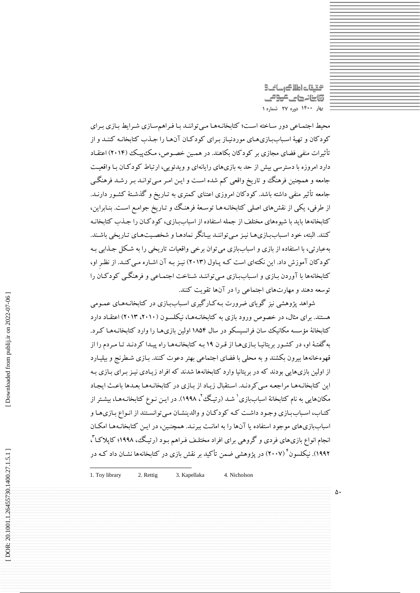محتيتات اطلاك رسانح وابنانها كالمومى **بهار 0011 دوره 72 شماره 0**

محيط اجتمـاعي دور سـاخته اسـت؛ كتابخانـههـا مـي تواننـد بـا فـراهمسـازی شـرايط بـازی بـرای كودكان و تهيهٔ اسباببازی های موردنياز برای كودكان آن ها را جذب كتابخانـه كننـد و از تأثيرات منفي فضای مجازی بر كودكان بكاهند. در همـين خصـوص، مـكـُ پيـك (٢٠١۴) اعتقـاد دارد امروزه با دسترسي بيش از حد به بازیهای رايانهای و ويدئويي، ارتباط كودكـان بـا واقعيـت جامعه و همچنين فرهنگ و تاريخ واقعي كم شده است و ايـن امـر مـي توانـد بـر رشـد فرهنگـي جامعه تأثير منفي داشته باشد. كودكان امروزی اعتنای كمتری به تـاريخ و گذشـتهٔ كشـور دارنـد. از طرفي، يکي از نقشهای اصلي کتابخانـههـا توسـعهٔ فرهنگ و تـاريخ جوامـع اسـت. بنـابراين، كتابخانهها بايد با شيوههای مختلف از جمله استفاده از اسباببازی، كودكـان را جـذب كتابخانـه كنند. البته، خود اسـباببازي هـا نيـز مـي تواننـد بيـانگر نمادهـا و شخصـيتهـاي تـاريخي باشـند. بهعبارتي، با استفاده از بازی و اسباببازی مي توان برخي واقعيات تاريخي را به شکل جـذابي بـه كودكان آموزش داد. اين نكتهای است كـه پـاول (٢٠١٣) نيـز بـه آن اشـاره مـي كنـد. از نظـرِ او، كتابخانهها با آوردن بـازی و اسـباببـازی مـیتواننـد شـناخت اجتمـاعی و فرهنگـی كودكـان را توسعه دهند و مهارتهای اجتماعي را در آنها تقويت كنند.

شواهد پژوهشي نيز گويای ضرورت بـه كـارگيری اسـباببـازی در كتابخانـههـای عمـومی هستند. برای مثال، در خصوص ورود بازی به کتابخانـههـا، نیکلسـون (۲۰۱۲، ۲۰۱۳) اعتقـاد دارد كتابخانة مؤسسه مكانيك سان فرانسيسكو در سال ۱۸۵۴ اولين بازیهما را وارد كتابخانـههـا كـرد. به گفتهٔ او، در كشور بريتانيا بـازی هـا از قـرن ١٩ بـه كتابخانـههـا راه پيـدا كردنـد تـا مـردم را از قهوهخانهها بيرون بکشند و به محلي با فضای اجتماعي بهتر دعوت كنند. بمازی شمطرنج و بيليمارد از اولين بازیهايي بودند كه در بريتانيا وارد كتابخانهها شدند كه افراد زيـادی نيـز بـرای بـازی بـه اين كتابخانـههـا مراجعـه مـي كردنـد. اسـتقبال زيـاد از بـازی در كتابخانـههـا بعـدها باعـث ايجـاد مکانهایی به نام کتابخانهٔ اسباببازی ْ شـد (رتیگ ْ، ۱۹۹۸). در ایـن نـوع کتابخانـههـا، بیشـتر از كتـاب، اسـباببازی وجـود داشـت كـه كودكـان و والدينشـان مـي توانسـتند از انـواع بـازی هـا و اسباببازیهای موجود استفاده يا آنها را به امانت ببرنـد. همچنـين، در ايـن كتابخانـههـا امكـان نجام انواع بازی،ای فردی و گروهی برای افراد مختلـف فـراهم بـود (رتيـگ، ١٩٩٨؛ كاپلاكـا ً، ۱۹۹۲). نیکلسون<sup>۲</sup> (۲۰۰۷) در پژوهشی ضمن تأکید بر نقش بازی در کتابخانهها نشـان داد کـه در

-1. Toy library 2. Rettig 3. Kapellaka 4 . Nicholson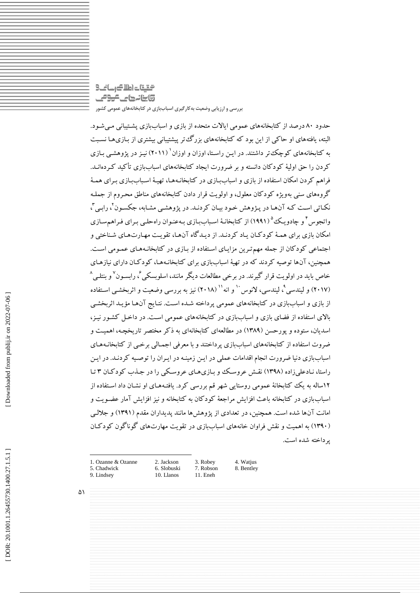# التقيقات اطلاك رسانك وابنانها ماموقى **بررسی و ارزيابی وضعیت بهکارگیری اسباببازی در کتابخانههای عمومی کشور**

حدود ۸۰ درصد از كتابخانههای عمومی ايالات متحده از بازی و اسباببازی پشـتيبانی مـیشـود. البته، يافتههای او حاكي از اين بود كه كتابخانههای بزرگتتر پيشتيباني بيشتری از بـازیهـا نسـبت به کتابخانههای کوچک تر داشتند. در ایـن راسـتا، اوزان و اوزان<sup>' (</sup>۲۰۱۱) نیـز در پژوهشـی بـازی كردن را حق اوليهٔ كودكان دانسته و بر ضرورت ايجاد كتابخانههای اسباببازی تأكيد كيردهانيد. فراهم كردن امکان استفاده از بازی و اسباببازی در كتابخانـههـا، تهيـهٔ اسـباببـازی بـرای همـهٔ گروههای سني بهويژه كودكان معلول، و اولويت قرار دادن كتابخانههای مناطق محمروم از جملمه نكـاتي اسـت كـه آن\مـا در پـژوهش خـود بيـان كردنـد. در پژوهشـي مشـابه، جكسـون ْ، رابـي ْ، واتجوس ٔ و چادویک<sup>۵</sup> (۱۹۹۱) از کتابخانـهٔ اسـباببازی بـهعنـوان راهحلـی بـرای فـراهم۳سازی امکان بازی برای همـه کود کـان یـاد کردنـد. از دیـد کاه آنهـا، تقویـت مهـارتهـای شـناختی و اجتماعي كودكان از جمله مهم ترين مزايـای اسـتفاده از بـازی در كتابخانـههـای عمـومی اسـت. همچنين، آنها توصيه كردند كه در تهيهٔ اسباببازی برای كتابخانـههـا، كودكـان دارای نيازهـای خاص باید در اولویت قرار گیرند. در برخی مطالعات دیگر مانند، اسلوبسکی ٔ، رابسـون<sup>۷</sup>و بنتلـی^ (۲۰۱۷) و لیندسی°، لیندسی، لانوس `` و انه'`` (۲۰۱۸) نیز به بررسی وضعیت و اثربخشـی اسـتفاده از بازی و اسباببازی در كتابخانههای عمومي پرداخته شمده اسمت. نتمايج آن هما مؤيمد ایربخشمي باالی استفاده از فضای بازی و اسباببازی در كتابخانههای عمومي اسمت. در داخم كشمور نيمز، اسديان، ستوده و پورحسن )4719( در مطالعهای كتابخانهای به ذكر مختصر تاريخچمه، اهميمت و ضروت استفاده از كتابخانههای اسباببازی پرداختند و با معرفي اجممالي برخمي از كتابخانمه همای اسباببازی دنيا ضرورت انجام اقدامات عملي در ايمن زمينمه در ايمران را توصميه كردنمد. در ايمن راستا، نـادعلی(اده (۱۳۹۸) نقـش عروسـك و بـازی هـای عروسـكي را در جـدب كود كـان ۳ تـا 45ساله به يک كتابخانة عمومي روستايي شهر قم بررسي كرد. يافتمه همای او نشمان داد اسمتفاده از اسباببازی در كتابخانه باعث افزايش مراجعة كودكان به كتابخانه و نيز افزايش آمار عضمويت و امانت آنها شده است. همچنين، در تعدادی از پژوهشها مانند پديداران مقدم )4794( و جاللمي (۱۳۹۰) به اهمیت و نقش فراوان خانههای اسباببازی در تقویت مهارتهای گوناگون گود كـان پرداخته شده است.

1 1. Ozanne & Ozanne 2. Jackson 5. Chadwick

9. Lindsey

6. Slobuski 1 0. Llanos

3. Robey

1 1. Eneh

7. Robson

4. Watjus 8. Bentley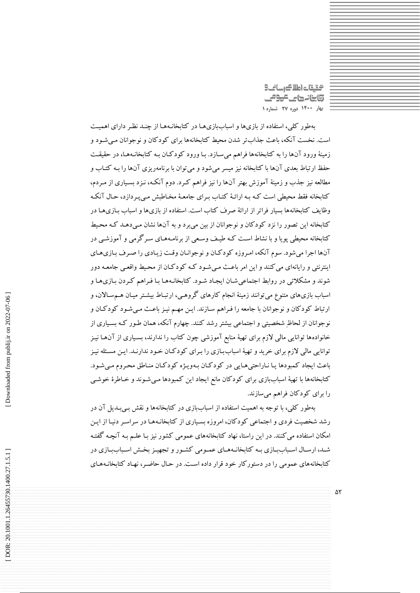محتيتات اطلاك رسانح **@ينانههای عودمی بهار 0011 دوره 72 شماره 0**

بهطور كلي، استفاده از بازیها و اسباببازیهما در كتابخانـههـا از چنـد نظـر دارای اهميـت است. نخست آنکه، باعث جذابتر شدن محيش كتابخانهها برای كودكان و نوجوانان ممي شمود و زمينهٔ ورود آنها را به كتابخانهها فراهم ميسازد. بـا ورود كودكـان بـه كتابخانـههـا، در حقيقـت حفظ ارتباط بعدی آنها با كتابخانه نيز ميسر مي شود و مي توان با برنامهريزی آنها را بـه كتـاب و مطالعه نيز جذب و زمينة آموزش بهتر آنها را نيز فراهم كمرد. دوم آنکمه، نمزد بسمياری از ممردم، كتابخانه فقط محيطي است كـه بـه ارائـهٔ كتـاب بـراي جامعـهٔ مخـاطبش مـي پـردازد، حـال آنكـه وظايف كتابخانهها بسيار فراتر از ارائة صرف كتاب است. استفاده از بازیها و اسباب بمازی هما در كتابخانه اين تصور را نزد كودكان و نوجوانان از بين ميبرد و به آنها نشان ممي دهمد كمه محميش كتابخانه محيطي پويا و با نشاط است كـه طيـف وسـعي از برنامـههـای سـرگرمي و آموزشـي در آنها اجرا می شود. سوم آنکه، امروزه کودکان و نوجوانیان وقت زیبادی را صرف بیازی هیای اينترنتي و رايانهای ميكنند و اين امر باعمث ممي شمود كمه كودكمان از محميش واقعمي جامعمه دور شوند و مشکلاتي در روابط اجتماعي شـان ايجـاد شـود. كتابخانـههـا بـا فـراهم كـردن بـازی هـا و اسباب بازیهای متنوع می توانند زمینهٔ انجام کارهای گروهمی، ارتبـاط بیشـتر میـان هــمسـالان، و ارتباط كودكان و نوجوانان با جامعه را فـراهم سـازند. ايـن مهـم نيـز باعـث مـي شـود كودكـان و نوجوانان از لحاظِ شخصيتي و اجتماعي بيشتر رشد كنند. چهارم آنکه، همان طمور كمه بسمياری از خانوادهها توانايي مالي الزم برای تهية منابع آموزشي چون كتاب را ندارند، بسمياری از آن هما نيمز توانايي مالي لازم براي خريد و تهيهٔ اسباببازی را بـرای كودكـان خـود ندارنـد. ايـن مسـئله نيـز باعث ايجاد كمبودها يا نـاراحتي هـايي در كودكـان بـهويـژه كودكـان منـاطق محـروم مـي شـود. كتابخانهها با تهية اسباببازی برای كودكان مانع ايجاد اين كمبودها ممي شموند و خماطرة خوشمي را برای كودكان فراهم ميسازند.

بهطور كلي، با توجه به اهميت استفاده از اسباببازی در كتابخانهها و نقش بمي بمدي آن در رشد شخصيت فردي و اجتماعي كودكان، امروزه بسياري از كتابخانـههـا در سراسـر دنيـا از ايـن امکان استفاده مي كنند. در اين راستا، نهاد كتابخانههای عمومي كشور نيز بـا علــم بـه آنچـه گفتـه شـد، ارسـال اسـباببـازی بـه كتابخانـههـای عمـومی كشـور و تجهيـز بخـش اسـباببـازی در كتابخانههای عمومي را در دستوركار خود قرار داده اسمت. در حمال حاضمر، نهماد كتابخانمه همای

 $\Delta \Upsilon$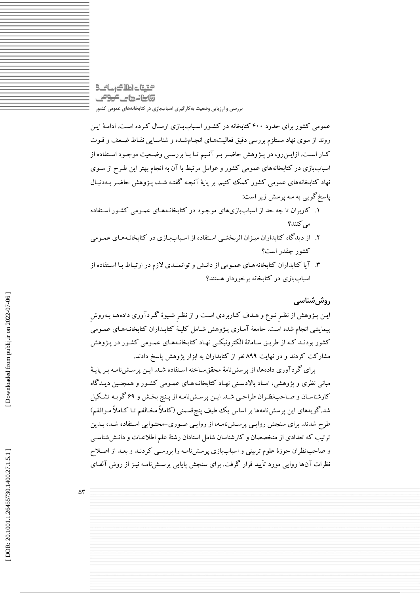# التقيقات اطلاك رسانك @ينانههاي <del>كرو</del>مي **بررسی و ارزيابی وضعیت بهکارگیری اسباببازی در کتابخانههای عمومی کشور**

عمومي كشور برای حدود ۴۰۰ كتابخانه در كشـور اسـباببـازی ارسـال كـرده اسـت. ادامـهٔ ايـن روند از سوی نهاد مستلزم بررسی دقيق فعاليتهـای انجـامشـده و شناسـايي نقـاط ضـعف و قـوت كمار اسمت. ازايمنرو، در پمژوهش حاضمر بمر آنميم تما بما بررسمي وضمعيت موجمود اسمتفاده از اسباببازی در كتابخانههای عمومی كشور و عوامل مرتبط با آن به انجام بهتر اين طـرح از سـوی نهاد كتابخانههای عمومي كشور كمک كنيم. بر پاية آنچمه گفتمه شمد، پمژوهش حاضمر بمه دنبمال پاسخگويي به سه پرسش زير است:

- .4 كاربران تا چه حد از اسباببازیهای موجمود در كتابخانمه همای عممومي كشمور اسمتفاده مي كنند؟
- ۲. از ديدگاه كتابداران ميـزان اثربخشـي اسـتفاده از اسـباببـازی در كتابخانـههـای عمـومی كشور چقدر است؟
- ۳. آیا کتابداران کتابخانههـای عمـومی از دانـش و توانمنـدی لازم در ارتبـاط بـا اسـتفاده از اسباببازی در كتابخانه برخوردار هستند؟

## **روششناسی**

ايمن پمژوهش از نظمرِ نموع و همدف كماربردی اسمت و از نظمرِ شميوة گمردآوری داده هما بمهروشِ پيمايشي انجام شده است. جامعهٔ آمـاری پـژوهش شـامل كليـهٔ كتابـداران كتابخانـههـای عمـومی كشور بودنـد كـه از طريـق سـامانهٔ الكترونيكـي نهـاد كتابخانـههـای عمـومي كشـور در پـژوهش مشاركت كردند و در نهايت 199 نفر از كتابداران به ابزار پژوهش پاسخ دادند.

برای گردآوری دادهها، از پرسشنامة محققسماخته اسمتفاده شمد. ايمن پرسمش ناممه بمر پايمة مباني نظری و پژوهشي، اسناد بالادستي نهـاد كتابخانـههـای عمـومي كشـور و همچنـين ديـدگاه کارشناسـان و صــاحب:ظـران طراحــى شــد. ايــن پرســشiامــه از پــنج بخـش و ۶۹ گويــه تشــكيل<br>شد.گويههاى اين پرسشiامهها بر اساس يك طيف پنج قسمتى (كاملاً مخـالفم تـا كــاملاً مـوافقم) طرح شدند. برای سنجش روايـی پرســشiامـه، از روايـی صـوری-محتـوايی اسـتفاده شـد، بـدين نرتيب كه تعدادی از متخصصان و كارشناسان شامل استادان رشتهٔ علم اطلاعـات و دانـش(شناسـی و صاحبنظران حوزة علوم تربيتي و اسباببازی پرسشناممه را بررسمي كردنمد و بعمد از اصمالح نظرات آنها روايي مورد تأييد قرار گرفت. برای سنجش پايايي پرسـشiامـه نيـز از روش آلفـای

 $\Delta \mathsf{r}$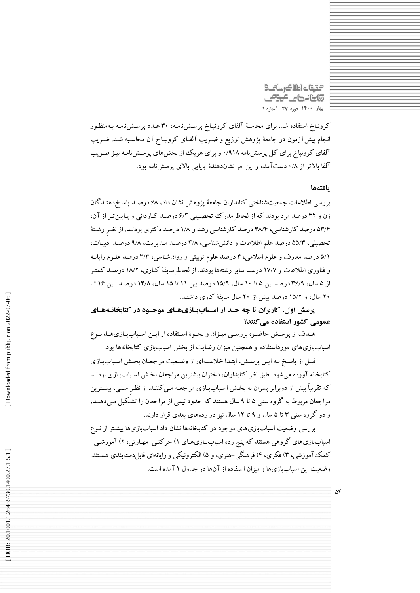التقيقات اطلاك رسانت 9 **@ينانههای عودمی بهار 0011 دوره 72 شماره 0**

كرونباخ استفاده شد. برای محاسبة آلفای كرونبماخ پرسمش ناممه ، 70 عمدد پرسمش ناممه بمه منظمور انجام پيش آزمون در جامعهٔ پژوهش توزيع و ضـريب آلفـای كرونبـاخ آن محاسـبه شـد. ضـريب آلفای کرونباخ برای کل پرسش نامه ۰/۹۱۸ و برای هریک از بخشهای پرسـش(نامـه نیـز ضـریب آلفا بالاتر از ۰/۸ دست آمد، و این امر نشاندهندهٔ پایایی بالای پرسشنامه بود.

#### **يافتهها**

بررسي اطالعات جمعيتشناختي كتابداران جامعة پژوهش نشان داد، 41 درصمد پاسمخ دهنمدگان زن و ۳۲ درصد مرد بودند که از لحاظِ مدرک تحصـیلی ۶/۲ درصـد کـاردانی و پـایین تـر از آن، ۵۳/۴ درصد کارشناسی، ۳۸/۴ درصد کارشناسی(رشد و ۱/۸ درصد دکتری بودنـد. از نظـرِ رشـته نحصيلي، ۵۵/۳ درصد علم اطلاعات و دانش شناسي، ۲/۸ درصـد مـديريت، ۹/۸ درصـد ادبيـات، ۵/۱ درصد معارف و علوم اسلامی، ۴ درصد علوم تربیتی و روانشناسی، ۲/۳ درصد علـوم رایانـه و فناوری اطلاعات و ۱۷/۷ درصد سایر رشتهها بودند. از لحاظِ سابقه کـاری، ۱۸/۲ درصـد کمتـر از ۵ سال، ۳۶/۹ درصد بين ۵ تا ۱۰ سال، ۱۵/۹ درصد بين ۱۱ تا ۱۵ سال، ۱۳/۸ درصـد بـين ۱۶ تـا ۲۰ سال، و ۱۵/۲ درصد بیش از ۲۰ سال سابقهٔ کاری داشتند.

**پرسش اول. كاربران تا چه حـد از اسـباببـازیهـای موجـود در كتابخانـههـای كنند؟ عمومي كشور استفاده مي**

هـدف از پرســش حاضــر، بررســي ميــزان و نحــوهٔ اســتفاده از ايــن اســباببـازيهـا، نــوع اسباببازیهای مورداستفاده و همچنين ميزان رضايت از بخش اسباببازی كتابخانهها بود.

قبـل از پاسـخ بـه ايـن پرسـش، ابتـدا خلاصـهای از وضـعيت مراجعـان بخـش اسـباببـازی كتابخانه آورده مى شود. طبق نظر كتابداران، دختران بيشترين مراجعان بخش اسـباببـازی بودنـد كه تقريباً بيش از دوبرابر پسران به بخش اسباببازی مراجعـه مـي كننـد. از نظـر سـني، بيشـترين مراجعان مربوط به گروه سني ۵ تا ۹ سال هستند که حدود نيمي از مراجعان را تشکيل مـيدهنـد، و دو کروه سنی ۳ تا ۵ سال و ۹ تا ۱۲ سال نیز در ردههای بعدی قرار دارند.

بررسی وضعیت اسباببازیهای موجود در كتابخانهها نشان داد اسباببازیها بیشـتر از نـوع<br>اسباببازیهای گروهی هستند كه پنج رده اسباببـازیهـای ۱) حركتـی-مهـارتی، ۲) آموزشـی-کمک آموزشي، ۳) فکري، ۴) فرهنگي-هنري، و ۵) الکترونيکي و رايانهاي قابلددستهبندي هسـتند. وضعيت اين اسباببازیها و ميزان استفاده از آنها در جدول ۱ آمده است.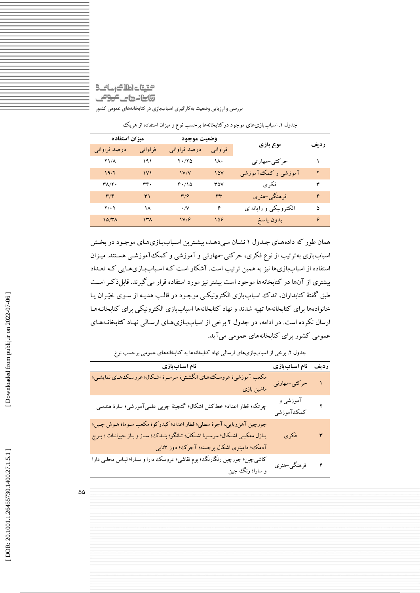### الحتيتات اطلاك رسانح @ينانههاي <del>كرو</del>مي **بررسی و ارزيابی وضعیت بهکارگیری اسباببازی در کتابخانههای عمومی کشور**

|                         | ميزان استفاده |                         | وضعيت موجود |                        |             |
|-------------------------|---------------|-------------------------|-------------|------------------------|-------------|
| درصد فراوانبي           | فر اوانی      | درصد فراواني            | فراواني     | نوع بازی               | <b>ردىف</b> |
| $Y$ $/\Lambda$          | ۱۹۱           | $Y \cdot / Y \Delta$    | ۱۸۰         | حرکتی-مهارتی           |             |
| 19/7                    | $\sqrt{1}$    | V/Y                     | 10V         | آموزشی و کمک آموزشی    | ۲           |
| ۳۸/۲۰                   | ۳۴.           | F.10                    | ۳۵۷         | فكرى                   | ٣           |
| $\mathbf{r}/\mathbf{r}$ | ۳۱            | $\mathbf{r}/\mathbf{r}$ | ٣٣          | فرهنگي-هنري            | ۴           |
| $Y/\cdot Y$             | ۱۸            | $\cdot$ /Y              | ۶           | الكترونيكي و رايانه اي | ۵           |
| $10/4\lambda$           | $\mathcal{N}$ | V/F                     | 158         | بدون پاسخ              | ۶           |

جدول ۱. اسباببازیهای موجود در کتابخانهها برحسب نوع و میزان استفاده از هریک

همان طور كه دادههای جـدول ۱ نشـان مـیدهـد، بیشـترین اسـباببـازیهـای موجـود در بخـش اسباببازی بهترتيب از نوع فکری، حرکتي-مهارتي و آموزشي و کمک آموزشـي هسـتند. ميـزان استفاده از اسباببازیها نيز به همين ترتيب است. آشکار است کـه اسـباببـازیهـايي کـه تعـداد بيشتری از آنها در كتابخانهها موجود است بيشتر نيز مورد استفاده قرار ميگيرند. قاب ذكمر اسمت طبق گفتة كتابداران، اندک اسباببازی الکترونيکمي موجمود در قالمب هديمه از سموی خيّمران يما خانوادهها برای كتابخانهها تهيه شدند و نهاد كتابخانهها اسباببازی الکترونيکي برای كتابخانمه هما ارسال نکرده است. در ادامه، در جدول ۲ برخی از اسباببازیهای ارسالی نهاد گتابخانـههای عمومي كشور برای كتابخانههای عمومي ميآيد.

. برخي از اسباببازیهای ارسالي نهاد كتابخانهها به كتابخانههای عمومي برحسب نوع جدول 5

| نام اسباببازی                                                                                                                                                                                            | نام اسباب بازی         | رديف               |
|----------------------------------------------------------------------------------------------------------------------------------------------------------------------------------------------------------|------------------------|--------------------|
| مکعب آموزشی؛ عروسک های انگشتی؛ سرسرهٔ اشکال؛ عروسک های نمایشی؛<br>ماشین بازی                                                                                                                             | حرکتی-مهارتی           |                    |
| چرتکه؛ قطار اعداد؛ خط کش اشکال؛ گنجینهٔ چوبی علمیآموزشی؛ سازهٔ هندسی                                                                                                                                     | آموزشی و<br>كمك آموزشي | ۲                  |
| جورچين آهنربايي، آجرة سطلي؛ قطار اعداد؛ كيدوكو؛ مكعب سـوما؛ هـوش چـين؛<br>پـازل معکبـي اشـکال؛ سرسـرهٔ اشـکال؛ تـانگو؛ بنـدک، سـاز و بـاز حيوانـات ؛ بـرج<br>آدمک؛ دامینوی اشکال برجسته؛ آجرک؛ دوز ۳تایی | فكرى                   | ٣                  |
| کاشیچین؛ جورچین رنگارنگ؛ بوم نقاشی؛ عروسک دارا و سـارا؛ لبـاس محلـی دارا<br>و سارا؛ رنگ چین                                                                                                              | فرهنگي-هنري            | $\mathbf{\hat{r}}$ |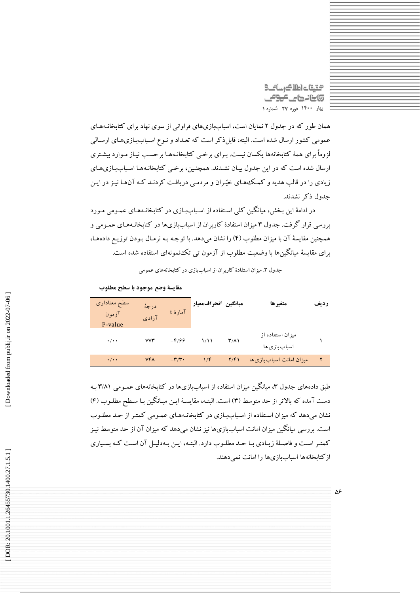شقيقات اطلاك رسائك **@ينانههای عودمی بهار 0011 دوره 72 شماره 0**

همان طور ً كه در جلول ۲ نمایان است، اسباببازیهای فراوانی از سوی نهاد برای گتابخانـههـای عمومي كشور ارسال شده است. البته، قابل ذكر است كه تعـداد و نـوع اسـباببازیهـای ارسـالي لزوماً برای همهٔ كتابخانهها يكسان نيست. بـرای برخمي كتابخانـههـا برحسـب نيـاز مـوارد بيشـتری ارسال شده است كه در اين جدول بيـان نشـدند. همچنـين، برخـي كتابخانـههـا اسـباببازي هـاي زيادی را در قالب هديه و كمك های خيّمران و مردمبي دريافت كردنـد كـه آن هـا نيـز در ايـن جدول ذكر نشدند.

در ادامهٔ اين بخش، ميانگين كلي اسـتفاده از اسـباببـازی در كتابخانـههـای عمـومی مـورد بررسی قرار گرفت. جدول ۳ میزان استفادهٔ کاربران از اسباببازیها در کتابخانـههـای عمـومی و همچنين مقايسه آن با ميزان مطلوب (٢) را نشان ميدهد. با توجـه بـه نرمـال بـودن توزيـع دادههـا، برای مقايسة ميانگينها با وضعيت مطلوب از آزمون تي تکنمونهای استفاده شده است.

| مقايسة وضع موجود بأ سطح مطلوب |                |                            |                     |                      |                                    |      |
|-------------------------------|----------------|----------------------------|---------------------|----------------------|------------------------------------|------|
| سطح معنادارى<br>آزمون         | درجهٔ<br>آزادى | آمارۂ t                    | ميانگين انحرافمعيار |                      | متغيرها                            | رديف |
| P-value                       |                |                            |                     |                      |                                    |      |
| $\cdot$ / $\cdot$ +           | <b>VV٣</b>     | $-8/99$                    | 1/11                | $\mathsf{r}(\wedge)$ | میز ان استفاده از<br>اسباب بازی ها |      |
| $\cdot$ / $\cdot$ $\cdot$     | <b>VFA</b>     | $-\mathbf{r}/\mathbf{r}$ . | 1/F                 | Y/F1                 | میز ان امانت اسباب بازی ها         | ۲    |

. ميزان استفادة كاربران از اسباببازی در كتابخانههای عمومي جدول 7

طبق دادههای جدول ۳، میانگین میزان استفاده از اسباببازیها در کتابخانههای عمـومی ۳/۸۱ بـه دست آمده كه بالاتر از حد متوسط (۳) است. البتـه، مقايسـة ايـن ميـانكين بـا سـطح مطلـوب (۴) نشان ميدهد كه ميزان استفاده از اسـباببازی در كتابخانـههـای عمـومی كمتـر از حـد مطلـوب است. بررسي ميانگين ميزان امانت اسباببازيها نيز نشان ميدهد كه ميزان آن از حد متوسط نيـز كمتـر اسـت و فاصـلهٔ زيـادي بـا حـد مطلـوب دارد. البتـه، ايـن بـهدليـل آن اسـت كـه بسـياري ازكتابخانهها اسباببازیها را امانت نمي دهند.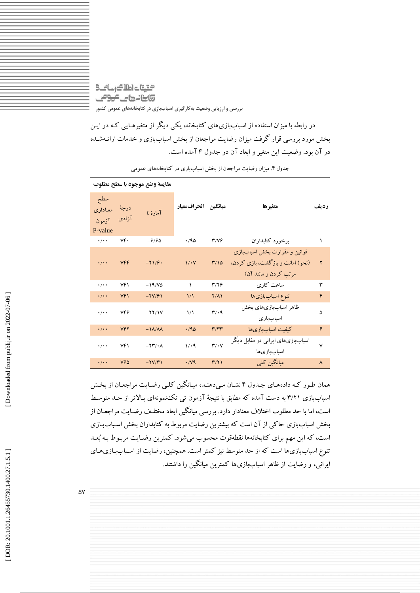التقيقات اطلاك رسانك @ينانهها على على وعل **بررسی و ارزيابی وضعیت بهکارگیری اسباببازی در کتابخانههای عمومی کشور**

در رابطه با ميزان استفاده از اسباببازیهای كتابخانه، يکي ديگر از متغيرهمايي كمه در ايمن بخش مورد بررسي قرار گرفت ميزان رضايت مراجعان از بخش اسباببازی و خدمات ارائمه شمده در آن بود. وضعيت اين متغير و ابعاد آن در جدول ۲ آمده است.

|                                     |               | مقايسة وضع موجود بأ سطح مطلوب |                      |                               |                                                                                             |      |
|-------------------------------------|---------------|-------------------------------|----------------------|-------------------------------|---------------------------------------------------------------------------------------------|------|
| سطح<br>معناداري<br>آزمون<br>P-value | درجة<br>آزادی | آمارهٔ t                      | ميانگين انحرافمعيار  |                               | متغيرها                                                                                     | رديف |
| $\cdot/\cdot$                       | ٧۴.           | $-9/90$                       | .40                  | 37/76                         | برخورد كتابداران                                                                            |      |
| $\cdot/\cdot$                       | VFF           | $-71/9$                       | $1/\cdot V$          | $\frac{4}{10}$                | قوانین و مقرارت بخش اسباببازی<br>(نحوهٔ امانت و بازگشت، بازی کردن،<br>مرتب كردن و مانند آن) | ۲    |
| $\cdot$ / $\cdot$ $\cdot$           | ۷۴۱           | $-19/10$                      | ١                    | 3114                          | ساعت كارى                                                                                   | ٣    |
| $\cdot$ / $\cdot$ $\cdot$           | Vf            | $-YV/F1$                      | $\frac{1}{\sqrt{2}}$ | $Y/\Lambda$                   | تنوع اسباببازىها                                                                            | ۴    |
| $\cdot$ / $\cdot$ $\cdot$           | 746           | $-YY/IV$                      | $\frac{1}{2}$        | $\mathbf{r}/\cdot \mathbf{q}$ | ظاهر اسباببازىهاى بخش<br>اسباببازى                                                          | ۵    |
| $\cdot$ / $\cdot$ $\cdot$           | <b>VFY</b>    | $-1\Lambda/\Lambda\Lambda$    | .40                  | $\mathbf{r}/\mathbf{r}$       | كيفيت اسباببازىها                                                                           | ۶    |
| $\cdot$ / $\cdot$ $\cdot$           | Yf            | $-YY/\cdot \Lambda$           | 1/4                  | $\mathbf{r}/\cdot\mathbf{v}$  | اسباببازیهای ایرانی در مقابل دیگر<br>اسباببازىها                                            | ٧    |
| $\cdot$ / $\cdot$ $\cdot$           | <b>V90</b>    | $-YV/Y$                       | $\cdot$ /V9          | $\mathbf{r}(\mathbf{r})$      | مبانگین کلی                                                                                 | ٨    |

. ميزان رضايت مراجعان از بخش اسباببازی در كتابخانههای عمومي جدول 1

همان طـور كـه دادههـای جـدول ۴ نشـان مـیدهنـد، میـانگین کلـی رضـایت مراجعـان از بخـش 'سباببازی ۳/۲۱ به دست آمده که مطابق با نتیجهٔ آزمون تی تکنمونهای بـالاتر از حـد متوسـط است، اما با حد مطلوب اختالف معنادار دارد. بررسي ميانگين ابعاد مختلمف رضمايت مراجعمان از بخش اسباببازی حاكي از آن است كه بيشترين رضايت مربوط به كتابداران بخش اسـباببـازی است، كه اين مهم براي كتابخانهها نقطهقوت محسوب مي شود. كمترين رضـايت مربـوط بـه بُعـد تنوع اسباببازیها است كه از حد متوسط نيز كمتر است. همچنين، رضايت از اسـباببـازی هـای ايراني، و رضايت از ظاهر اسباببازیها كمترين ميانگين را داشتند.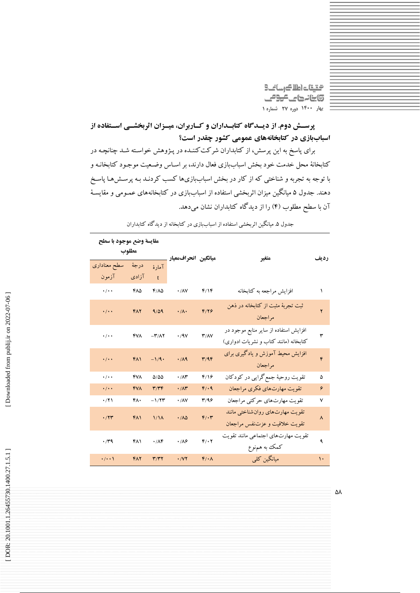گیقات اطلاک رسانت 9 **تابنانهای موص بهار 0011 دوره 72 شماره 0**

**پرسؤؤش دوم. از ديؤؤدگاه كتابؤؤداران و كؤؤاربران، ميؤؤزان اثربخشؤؤي اسؤؤتفاده از اسباببازي در كتابخانههاي عمومي كشور چقدر است؟** 

برای پاسخ به اين پرسش، از كتابداران شركتكننمده در پمژوهش خواسمته شمد چنانچمه در كتابخانة محل خدمت خود بخش اسباببازی فعال دارند، بر اسـاس وضـعیت موجـود كتابخانـه و با توجه به تجربه و شناختی که از کار در بخش اسباببازیها کسب کردنید بـه پرسـش&ـا پاسـخ دهند. جدول ۵ میانگین میزان اتربخشی استفاده از اسباببازی در کتابخانههای عمـومی و مقایسـه آن با سطح مطلوب (۴) را از دید گاه کتابداران نشان میدهد.

| مقايسة وضع موجود با سطح   |                |                                    |                             |                   |                                                                                |      |
|---------------------------|----------------|------------------------------------|-----------------------------|-------------------|--------------------------------------------------------------------------------|------|
| مطلوب                     |                |                                    |                             |                   |                                                                                |      |
| سطح معناداري<br>آزمون     | درجهٔ<br>آزادی | آمارة<br>$\mathbf{t}$              | ميانگين انحرافمعيار         |                   | متغير                                                                          | رديف |
| $\cdot/\cdot$             | ۴۸۵            | $F/\Lambda\Delta$                  | $\cdot$ / $\wedge$ $\vee$   | f/Y               | افزايش مراجعه به كتابخانه                                                      | ١    |
| $\cdot/\cdot$             | FAY            | 9/09                               | $\cdot/\Lambda$             | F/Y               | ثبت تجربهٔ مثبت از کتابخانه در ذهن<br>مراجعان                                  | ۲    |
| $\cdot$ / $\cdot$ $\cdot$ | <b>FVA</b>     | $-\mathbf{r}/\mathbf{A}\mathbf{r}$ | $\cdot$ /9 $V$              | T/AY              | افزایش استفاده از سایر منابع موجود در<br>کتابخانه (مانند کتاب و نشریات ادواری) | ٣    |
| $\cdot$ / $\cdot$ $\cdot$ | FA1            | $-1/9$                             | .119                        | T/9F              | افزایش محیط آموزش و یادگیری برای<br>مراجعان                                    | ۴    |
| $\cdot$ / $\cdot$ $\cdot$ | ۴٧٨            | 0/00                               | $\cdot$ / $\wedge\breve{r}$ | f/19              | تقویت روحیهٔ جمع گرایی در کودکان                                               | ۵    |
| $\cdot/\cdot$             | <b>FVA</b>     | $\mathbf{r}/\mathbf{r}$            | $\cdot/\Lambda$ ۳           | F/4               | تقويت مهارتهاي فكرى مراجعان                                                    | ۶    |
| .771                      | ۴٨٠            | $-1/5$                             | $\cdot$ / $\wedge$ $\vee$   | T/99              | تقويت مهارتهاي حركتي مراجعان                                                   | ٧    |
| $\cdot$ /۲۳               | FA1            | 1/1 <sub>A</sub>                   | .110                        | $F/\cdot \tau$    | تقويت مهارتهاى روان شناختى مانند<br>تقويت خلاقيت وعزتنفس مراجعان               | ٨    |
| .74                       | <b>FAI</b>     | .78                                | $\cdot$ / $\wedge$          | $f/\cdot 7$       | تقويت مهارتهاى اجتماعي مانند تقويت<br>كمك به هم,نوع                            | ٩    |
| $\cdot/\cdot\cdot$        | <b>FAY</b>     | T/T                                | $\cdot$ / $\vee$ $\vee$     | $F/\cdot \Lambda$ | میانگین کلی                                                                    | ١.   |

. ميانگين ایربخشي استفاده از اسباببازی در كتابخانه از ديدگاه كتابداران جدول 0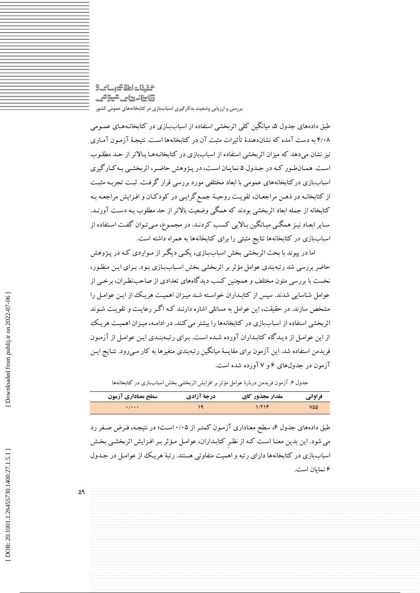# التقيقات اطلاك رسانك وابنانها كالمومى **بررسی و ارزيابی وضعیت بهکارگیری اسباببازی در کتابخانههای عمومی کشور**

طبق دادههای جدول ۵، میانگین کلی اتربخشی استفاده از اسباببازی در کتابخانـههای عمـومی ۲/۰۸ به دست آمده که نشاندهندهٔ تاتیرات مثبت آن در کتابخانهها است. نتیجـه آزمـون آمـاری نيز نشان ميدهد كه ميزان اثربخشي استفاده از اسباببازی در كتابخانـههـا بـالاتر از حـد مطلـوب ست. همـان طـور ً كـه در جـدول ۵ نمايـان اسـت، در پـژوهش حاضـر، اتربخشـی بـه كـار گيری اسباببازی دركتابخانههای عمومی با ابعاد مختلفی مورد بررسی قرار گرفت. ثبت تجربـه مثبـت از كتابخانـه در ذهـن مراجعـان، تقويـت روحيـهٔ جمـع گرايـي در كودكـان و افـزايش مراجعـه بـه كتابخانه از جمله ابعاد ایربخشي بودند كه همگي وضعيت باالتر از حد مطلوب بمه دسمت آورنمد. ساير ابعـاد نيـز همگـي ميـانگين بـالايي كسـب كردنـد. در مجمـوع، مـيتوان گفـت اسـتفاده از اسباببازی در كتابخانهها نتايج مثبتي را برای كتابخانهها به همراه داشته است.

اما در پيوند با بحث اثربخشي بخش اسباببازي، يكبي ديگير از مـواردي كـه در پـژوهش حاضر بررسی شد رتبهبندی عوامل مؤثر بر اثربخشی بخش اسباببازی بـود. بـرای ايـن منظـور، نخست با بررسي متون مختلف و همچنين كسب ديدگاههای تعدادی از صاحبنظمران، برخمي از عوامل شناسايي شدند. سپس از كتابـداران خواسـته شـد ميـزان اهميـت هريـك از ايـن عوامـل را مشخص سازند. در حقيقت، اين عوامل به مسائلي اشاره دارنـد كـه اگـر رعايـت و تقويـت شـوند اثربخشي استفاده از اسباببازی در كتابخانهها را بيشتر مي كنند. در ادامـه، ميـزان اهميـت هريـك از اين عوامم از ديمدگاه كتابمداران آورده شمده اسمت. بمرای رتبمه بنمدی ايمن عوامم از آزممون فريدمن استفاده شد. اين آزمون برای مقايسة ميانگين رتبهبندی متغيرها به کار مـیرود. نتـايج ايـن آزمون در جدولهای ۶ و ۷ آورده شده است.

جدول ۴. آزمون فريدمن دربارة عوامل مؤتر بر افزايش اتربخشي بخش اسباببازی در کتابخانهها

| سطح معناداري آزمون  | درجة آزادي | مقدار مجذور کای | فراواني |
|---------------------|------------|-----------------|---------|
| $\cdot$ / $\cdot$ + |            | 1/716           | ۷۵۵     |

طبق دادههای جدول ۶، سطح معناداری آزمـون كمتـر از ۰/۰۵ اسـت؛ در نتيجـه، فـرض صـفر رد مي شود. اين بدين معنـا اسـت كـه از نظـرِ كتابـداران، عوامـل مـؤثر بـر افـزايش اثربخشـي بخـش اسباببازی در كتابخانهها دارای رتبه و اهميت متفاوتي هستند. رتبة هريمک از عوامم در جمدول نمايان است. 4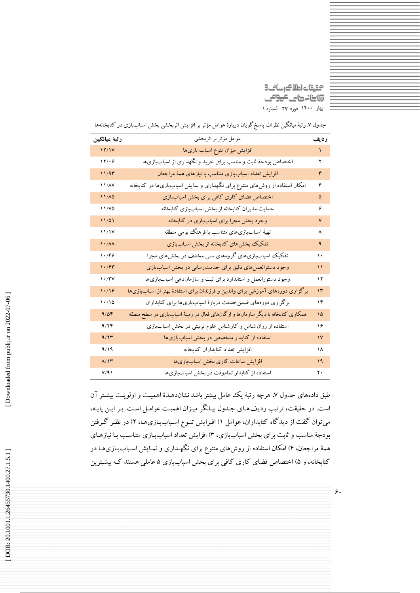التاس كالعاصلة 5) ينانها على عوص **بهار 0011 دوره 72 شماره 0**

| رتبة ميانگين                    | عوامل مؤثر بر اثربخشى                                                             | رديف          |
|---------------------------------|-----------------------------------------------------------------------------------|---------------|
| 17/1V                           | افزایش میزان تنوع اسباب بازیها                                                    | $\mathcal{N}$ |
| 17/29                           | اختصاص بودجهٔ ثابت و مناسب برای خرید و نگهداری از اسباببازیها                     | ۲             |
| 11/91                           | افزایش تعداد اسباببازی متناسب با نیازهای همهٔ مراجعان                             | ٣             |
| 11/AV                           | امکان استفاده از روش۵های متنوع برای نگهداری و نمایش اسباببازیها در کتابخانه       | ۴             |
| $11/\lambda\delta$              | اختصاص فضاى كارى كافى براى بخش اسباببازى                                          | ۵             |
| 11/Y <sub>0</sub>               | حمایت مدیران کتابخانه از بخش اسباببازی کتابخانه                                   | ۶             |
| 11/21                           | وجود بخش مجزا برای اسباببازی در کتابخانه                                          | ٧             |
| 11/1V                           | تهیهٔ اسباببازیهای متناسب با فرهنگ بومی منطقه                                     | ٨             |
| $\lambda$ / $\lambda$           | تفکیک بخشهای کتابخانه از بخش اسباببازی                                            | ٩             |
| $\mathcal{N} \cdot \mathcal{N}$ | تفکیک اسباببازیهای گروههای سنی مختلف در بخشهای مجزا                               | ١.            |
| $\mathcal{N} \cdot \mathcal{N}$ | وجود دستوالعمل های دقیق برای خدمت رسانی در بخش اسباببازی                          | $\mathcal{L}$ |
| $\mathcal{N} \cdot \mathcal{N}$ | وجود دستورالعمل و استاندارد برای ثبت و سازماندهی اسباببازیها                      | ۱۲            |
| 1.79                            | برگزاری دورههای آموزشی برای والدین و فرزندان برای استفادهٔ بهتر از اسباببازیها    | $\mathcal{N}$ |
| 1.710                           | برگزاری دورههای ضمن خدمت دربارهٔ اسباببازیها برای کتابداران                       | ۱۴            |
| 9/09                            | همکاری کتابخانه با دیگر سازمانها و ارگانهای فعال در زمینهٔ اسباببازی در سطح منطقه | ۱۵            |
| 9/79                            | استفاده از روان شناس و کارشناس علوم تربیتی در بخش اسباببازی                       | ۱۶            |
| 9/77                            | استفاده از کتابدار متخصص در بخش اسباببازیها                                       | $\mathsf{N}$  |
| 9/19                            | افزايش تعداد كتابداران كتابخانه                                                   | ۱۸            |
| $\Lambda/\mathcal{N}$           | افزایش ساعات کاری بخش اسباببازیها                                                 | 19            |
| $V/\sqrt{1}$                    | استفاده از کتابدار تماموقت در بخش اسباببازیها                                     | ٢.            |

جدول ۷. رتبه ميانگين نظرات پاسخ گويان دربارة عوامل مؤتر بر افزايش اتربخشي بخش اسباببازی در کتابخانهها

طبق دادههای جدول ۷، هرچه رتبة یک عامل بیشتر باشد نشاندهندهٔ اهمیـت و اولویـت بیشـتر آن است. در حقيقت، ترتيب رديف هـاي جـدول بيـانگر ميـزان اهميـت عوامـل اسـت. بـر ايـن پايـه، می توان گفت از ديد گاه گتابداران، عوامل ۱) افزايش تنوع اسـباببـازیها، ۲) در نظـر گـرفتن بودجة مناسب و ثابت برای بخش اسباببازی، ۳) افزایش تعداد اسباببازی متناسـب بـا نیازهـای همهٔ مراجعان، ۴) امکان استفاده از روشهای متنوع برای نگهـداری و نمـايش اسـباببـازیهـا در کتابخانه، و ۵) اختصاص فضای کاری کافی برای بخش اسباببازی ۵ عاملی هستند کـه بیشـترین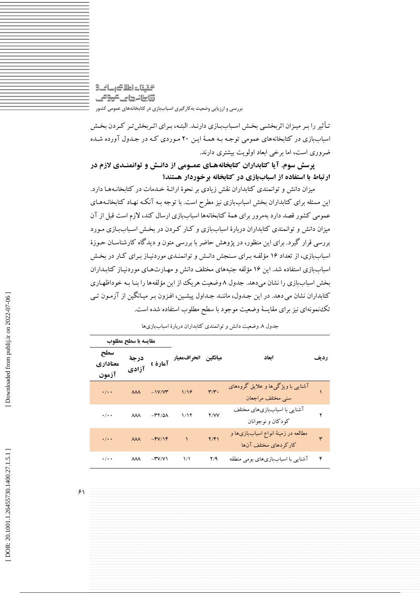# التقيقات اطلاك رسانك @ينانههاي <del>كرو</del>مي **بررسی و ارزيابی وضعیت بهکارگیری اسباببازی در کتابخانههای عمومی کشور**

تأثير را بـر ميـزان اثربخشـي بخـش اسـباببـازي دارنـد. البتـه، بـراي اثـربخشتر كـردن بخـش اسباببازی در كتابخانههای عمومي توجمه بمه هممة ايمن 50 مموردی كمه در جمدول آورده شمده ضروری است، اما برخي ابعاد اولويت بيشتری دارند.

**پرسش سوم. آيا كتابداران كتابخانههؤاي عمؤومي از دانؤش و توانمنؤدي الزم در ارتباط با استفاده از اسباببازي در كتابخانه برخوردار هستند؟** 

ميزان دانش و توانمندی كتابداران نقش زيادی بر نحوهٔ ارائـهٔ خـدمات در كتابخانـههـا دارد. اين مسئله برای كتابداران بخش اسباببازی نيز مطرح است. با توجه بـه آنكـه نهـاد كتابخانـههـای عمومي كشور قصد دارد بهمرور برای همهٔ كتابخانهها اسباببازی ارسال كند، لازم است قبل از آن ميزان دانش و توانمندی كتابداران دربارهٔ اسباببازی و كـار كـردن در بخش اسـباببـازی مـورد بررسي قرار گيرد. برای اين منظور، در پژوهش حاضر با بررسي متون و ديدگاه كارشناسمان حموزة اسباببازی، از تعداد ۱۶ مؤلفه بـرای سـنجش دانـش و توانمنـدی موردنيـاز بـرای كـار در بخـش اسباببازی استفاده شد. اين ۱۶ مؤلفه جنبههای مختلف دانش و مهـارتهـای موردنيـاز كتابـداران بخش اسباببازی را نشان میدهد. جدول ۸ وضعیت هریک از این مؤلفهها را بنـا بـه خوداظهـاری كتابداران نشان مي دهد. در اين جـدول، ماننـد جـداول پيشـين، افـزون بـر ميـانگين از آزمـون تـي تکنمونهای نيز برای مقايسة وضعيت موجود با سطح مطلوب استفاده شده است.

| مقايسه با سطح مطلوب |                           |                         |                        |                     |                           |                                                              |      |
|---------------------|---------------------------|-------------------------|------------------------|---------------------|---------------------------|--------------------------------------------------------------|------|
|                     | سطح<br>معناداري<br>آزمون  | درجة<br>آزادي           | آمارۂ t                | ميانگين انحرافمعيار |                           | ابعاد                                                        | رديف |
|                     | $\cdot/\cdot$ .           | $\lambda\lambda\lambda$ | $-1V/VT$               | 1/19                | $\mathbf{r}/\mathbf{r}$ . | آشنایی با ویژگیها و علایق گروههای<br>سنبى مختلف مراجعان      |      |
|                     | $\cdot/\cdot$ .           | $\lambda\lambda\lambda$ | $-\mathbf{r}$ $\wedge$ | 1/17                | Y/VV                      | آشنایی با اسباببازیهای مختلف<br>کودکان و نوجوانان            |      |
|                     | $\cdot/\cdot$             | $\lambda\lambda\lambda$ | $-FV/Y$                |                     | Y/F                       | مطالعه در زمینهٔ انواع اسباببازیها و<br>كاركردهاي مختلف آنها | ٣    |
|                     | $\cdot$ / $\cdot$ $\cdot$ | ᄊ                       | $-\mathbf{Y}V/V$       | ۱۸                  | Y/9                       | آشنایی با اسباببازیهای بومی منطقه                            | ۴    |

. وضعيت دانش و توانمندی كتابداران دربارة اسباببازیها جدول 1

 $\mathcal{F}$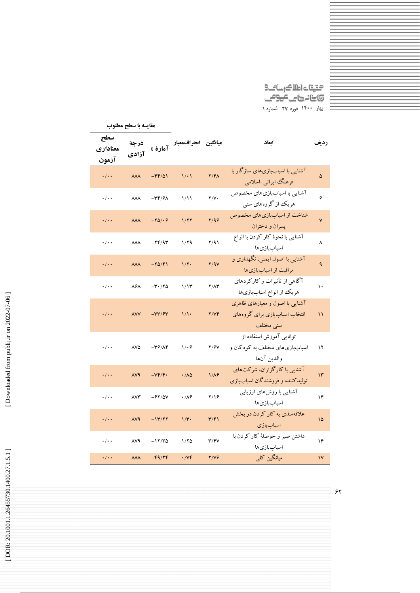محقیقات اطلا<del>ک</del>رسائے9<br>5:بنانہ کامے <del>کو9</del>مے **بهار 0011 دوره 72 شماره 0**

|                          | مقايسه با سطح مطلوب     |                                              |                                            |               |                                                                               |               |
|--------------------------|-------------------------|----------------------------------------------|--------------------------------------------|---------------|-------------------------------------------------------------------------------|---------------|
| سطح<br>معناداري<br>آزمون | درجة<br>آزادي           |                                              | <sub>میانگین</sub> انحرافمعیار<br>آمارهٔ t |               | ابعاد                                                                         | رديف          |
| $\cdot/\cdot$            | $\lambda\lambda\lambda$ | $-FF/\Delta$                                 | 1/1                                        | $Y/F\Lambda$  | آشنایی با اسباببازیهای سازگار با<br>فرهنگ ايراني-اسلامي                       | ۵             |
| $\cdot/\cdot$            | $\lambda\lambda\lambda$ | $-\mathbf{r} \mathbf{r}/\mathbf{r}$          | 1/11                                       | Y/Y           | آشنایی با اسباببازیهای مخصوص<br>هریک از گروههای سنبی                          | ۶             |
| $\cdot/\cdot$            | $\lambda\lambda\lambda$ | $-YQ/Y$                                      | 1/۲۲                                       | Y/99          | شناخت از اسباببازیهای مخصوص<br>پسران و دختران                                 | ٧             |
| ۰/۰۰                     | $\lambda\lambda\lambda$ | $-YF/9T$                                     | 1/79                                       | Y/91          | آشنایی با نحوهٔ کار کردن با انواع<br>اسباببازىها                              | ٨             |
| $\cdot/\cdot$ .          | $\lambda\lambda\lambda$ | $-Y\Delta/F1$                                | $1/\Upsilon$                               | Y/9V          | آشنایی با اصول ایمنی، نگهداری و<br>مراقبت از اسباببازیها                      | ٩             |
| $\cdot/\cdot$            | ۸۶۸                     | $-\mathsf{r}\cdot/\mathsf{r}\Delta$          | 1/11                                       | $Y/\Lambda Y$ | آگاهی از تأثیرات و کارکردهای<br>هريك از انواع اسباببازىها                     | ۱۰            |
| $\cdot/\cdot$ .          | <b>AVV</b>              | $-\mathsf{r}\mathsf{r}/\mathsf{r}$           | 1/1                                        | Y/YF          | آشنایی با اصول و معیارهای ظاهری<br>انتخاب اسباببازی برای گروههای<br>سنی مختلف | ۱۱            |
| $\cdot/\cdot$            | ۸۷۵                     | $-\mathsf{r}\mathsf{r}/\mathsf{A}\mathsf{r}$ | 1.9                                        | Y/9V          | توانایی آموزش استفاده از<br>اسباببازی های مختلف به کودکان و<br>والدين آنها    | ۱۲            |
| $\cdot/\cdot$            | <b>AV9</b>              | $-VF/F.$                                     | .700                                       | $1/\Lambda$ ۶ | آشنایی با کارگزاران، شرکتهای<br>تولیدکننده و فروشندگان اسباببازی              | $\mathcal{N}$ |
| $\cdot/\cdot$            | $\wedge \vee \Upsilon$  | $-91/0V$                                     | $\cdot$ / $\wedge$                         | ۲/۱۶          | آشنایی با روشهای ارزیابی<br>اسباببازىها                                       | ۱۴            |
| $\cdot/\cdot$ .          | <b>AV9</b>              | $-117/77$                                    | $1/\mathbf{r}$ .                           | $\mathbf{r}$  | علاقهمندی به کار کردن در بخش<br>اسباببازى                                     | ۱۵            |
| $\cdot/\cdot$            | <b>AV9</b>              | $-17/70$                                     | 1/80                                       | T/FV          | داشتن صبر و حوصلهٔ کار کردن با<br>اسباببازىها                                 | ۱۶            |
| $\cdot/\cdot$            | $\lambda\lambda\lambda$ | $-F9/7F$                                     | $\cdot$ / $\vee \check{r}$                 | Y/Y           | میانگین کلی                                                                   | $\mathsf{V}$  |

[Downloaded from publij.ir on 2022-07-06]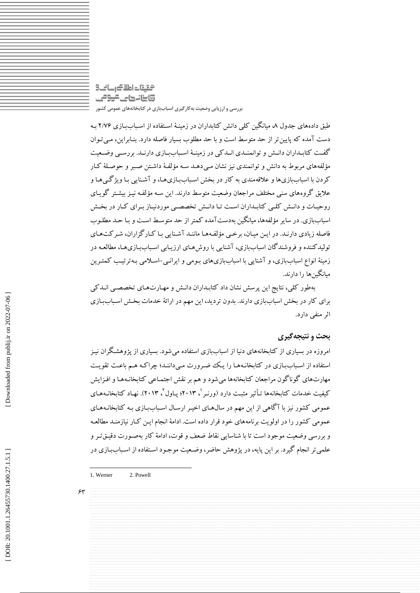# التقيقات اطلاك رسانك وابنانها ماموقى **بررسی و ارزيابی وضعیت بهکارگیری اسباببازی در کتابخانههای عمومی کشور**

طبق دادههای جدول ۸، میانگین کلی دانش کتابداران در زمینهٔ استفاده از اسـباببازی ۲/۷۶ بـه دست آمده كه پايين تر از حد متوسط است و با حد مطلوب بسيار فاصله دارد. بنـابراين، مـي تـوان گفت كتابمداران دانمش و توانمنمدی انمدكي در زمينـهٔ اسـباببمازی دارنـد. بررسـي وضـعيت مؤلفههای مربوط به دانش و توانمندی نيز نشان مـي دهـد سـه مؤلفـهٔ داشـتن صـبر و حوصـلهٔ كـار كردن با اسباببازیها و علاقهمندی به كار در بخش اسـباببازیهـا، و آشـنايي بـا ويژگـي هـا و عاليق گروههای سني مختلف مراجعان وضعيت متوسش دارند. اين سمه مؤلفمه نيمز بيشمتر گويمای روحيـات و دانـش كلـي كتابـداران اسـت تـا دانـش تخصصـي موردنيـاز بـراي كـار در بخـش اسباببازی. در ساير مؤلفهها، ميانگين بهدستآمده كمتر از حد متوسمش اسمت و بما حمد مطلموب فاصله زيادي دارنـد. در ايـن ميـان، برخمي مؤلفـههـا ماننـد آشـنايي بـا كـارگزاران، شـركت هـاي توليدكننده و فروشندگان اسباببازی، آشنايي با روشهای ارزيـابي اسـباببـازیهـا، مطالعـه در زمينه انواع اسباببازی، و آشنايي با اسباببازیهای بـومي و ايرانـي-اسـلامي بـهترتيـب گمتـرين ميانگينها را دارند.

بهطور كلي، نتايج اين پرسش نشان داد كتابمداران دانمش و مهمارت همای تخصصمي انمدكي برای كار در بخش اسباببازی دارند. بدون ترديد، اين مهم در ارائة خدمات بخمش اسمباب بمازی ایر منفي دارد.

### **بحث و نتیجهگیری**

امروزه در بسياری از كتابخانههای دنيا از اسباببازی استفاده ميشود. بسياری از پژوهشمگران نيمز استفاده از اسباببازی در كتابخانـههـا را يـك ضـرورت مـىداننـد؛ چراكـه هـم باعـث تقويـت مهارتهای گوناگون مراجعان كتابخانهها میشود و هم بر نقش اجتمـاعی كتابخانـههـا و افـزايش كيفيت خدمات كتابخانهها تـأثير مثبـت دارد (ورنـر '، ٢٠١٣؛ پــاول'، ٢٠١٣). نهـاد كتابخانــههـاى عمومي كشور نيز با آگاهي از اين مهم در سال هـای اخيـر ارسـال اسـباببـازی بـه كتابخانـههـای عمومي كشور را در اولويت برنامههای خود قرار داده است. ادامة انجام ايمن كمار نيازمنمد مطالعمه و بررسي وضعيت موجود است تا با شناسايي نقاط ضعف و قوت، ادامهٔ كار بهصـورت دقيـقتـر و علمي تر انجام گيرد. بر اين پايه، در پژوهش حاضر، وضعيت موجـود اسـتفاده از اسـباببـازی در

۶۳

-

<sup>1.</sup> Werner 2. Powell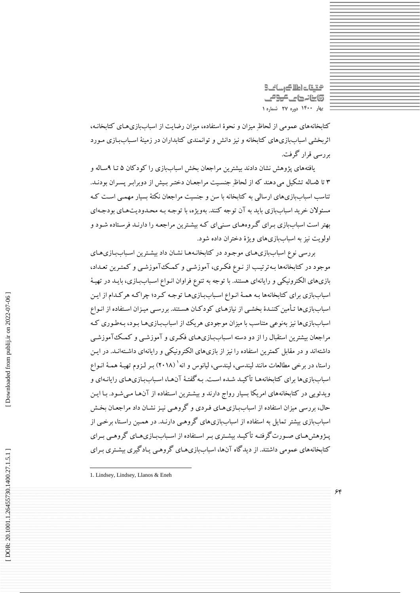التقات اطلاك رسانك وابنانها كالمومى **بهار 0011 دوره 72 شماره 0**

كتابخانههای عمومي از لحاظِ ميزان و نحوة استفاده، ميزان رضايت از اسباببازیهمای كتابخانمه، اثربخشي اسباببازیهای كتابخانه و نيز دانش و توانمندی كتابداران در زمينهٔ اسـباببازی مـورد بررسي قرار گرفت.

یافتههای پژوهش نشان دادند بیشترین مراجعان بخش اسباببازی را كود كان ۵ تـا ۹سـاله و ۳ تا ۵ساله تشکیل می دهند که از لحاظِ جنسیت مراجعیان دختـر بـیش از دوبرابـر پسـران بودنـد. تناسب اسباببازیهای ارسالي به كتابخانه با سن و جنسيت مراجعان نکتة بسيار مهممي اسمت كمه مسئوالن خريد اسباببازی بايد به آن توجه كنند. بهويژه، با توجمه بمه محمدوديت همای بودجمه ای بهتر است اسباببازی بمرای گمروه همای سمني ای كمه بيشمترين مراجعمه را دارنمد فرسمتاده شمود و اولويت نيز به اسباببازیهای ويژة دختران داده شود.

بررسي نوع اسباببازی های موجـود در كتابخانـههـا نشـان داد بيشـترين اسـباببـازی هـای موجود در كتابخانهها بمه ترتيمب از نموع فکمری، آموزشمي و كممک آموزشمي و كمتمرين تعمداد، بازیهای الکترونيکي و رايانهای هستند. با توجه به تنوع فراوان انـواع اسـباببـازی، بايــد در تهيــهٔ اسباببازی برای كتابخانهها بـه همـهٔ انـواع اسـباببـازی هـا توجـه كـرد؛ چراكـه هركـدام از ايـن اسباببازیها تـأمين كننـدۀ بخشـي از نيازهـای كودكـان هسـتند. بررسـي ميـزان اسـتفاده از انـواع اسباببازیها نيز بهنوعی متناسب با ميزان موجودی هريک از اسباببازیها بـود، بـهطـوری كـه مراجعان بيشترين استقبال را از دو دسته اسـباب[زی هـای فکـری و آموزشـبی و کـمـک آموزشـبی داشتهاند و در مقابل كمترين استفاده را نيز از بازیهای الكترونيكي و رايانهای داشـتهانـد. در ايـن راستا، در برخی مطالعات مانند لیندسی، لیندسی، لیانوس و انه` (۲۰۱۸) بـر لـزوم تهیـهٔ همـهٔ انـواع اسباببازیها برای كتابخانههـا تأكيـد شـده اسـت. بـه گفتـهٔ آنهـا، اسـباببازیهـای رايانـهای و ويدئويي در كتابخانههای امريکا بسيار رواج دارند و بيشمترين اسمتفاده از آن هما ممي شمود. بما ايمن حال، بررسي ميزان استفاده از اسباببازی هـای فـردی و گروهـي نيـز نشـان داد مراجعـان بخـش اسباببازی بيشتر تمايل به استفاده از اسباببازیهای گروهمي دارنـد. در همـين راسـتا، برخـي از پـژوهشهمای صـورت گرفتـه تأکيـد بيشـتری بـر اسـتفاده از اسـباببـازیهـای گروهـی بـرای كتابخانههای عمومي داشتند. از ديدگاه آنها، اسباببازیهمای گروهمي يمادگيری بيشمتری بمرای

-

<sup>1.</sup> Lindsey, Lindsey, Llanos & Eneh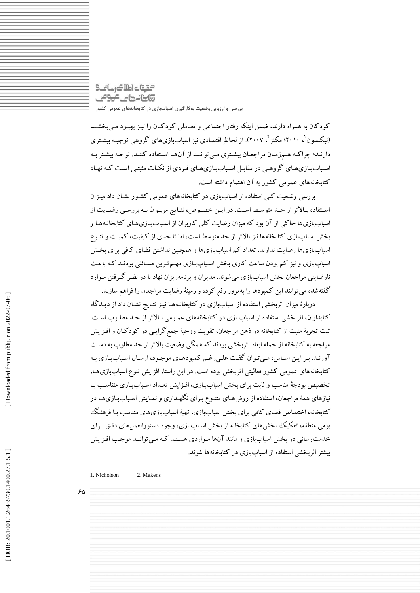# التقيقات اطلاك رسانك وابنانها ماموقى **بررسی و ارزيابی وضعیت بهکارگیری اسباببازی در کتابخانههای عمومی کشور**

كودكان به همراه دارند، ضمن اينكه رفتار اجتماعي و تعـاملي كودكـان را نيـز بهبـود مـيبخشـند (نیکلسون'، ۲۰۱۰؛ مکنز'، ۲۰۰۷). از لحاظِ اقتصادی نیز اسباببازیهای گروهی توجیـه بیشـتری دارنمد؛ چراكمه هممزممان مراجعمان بيشمتری مميتواننمد از آنهما اسمتفاده كننمد. توجمه بيشمتر بمه اسمباببمازیهمای گروهمي در مقابم اسمباببمازیهمای فمردی از نکمات مثبتمي اسمت كمه نهماد كتابخانههای عمومي كشور به آن اهتمام داشته است.

بررسي وضعيت كلي استفاده از اسباببازی در كتابخانههای عمومي كشمور نشمان داد ميمزان استفاده بالاتر از حمد متوسط است. در ايمن خصوص، نتمايج مربموط بـه بررسمي رضمايت از اسباببازیها حاكي از آن بود كه ميزان رضايت كلي كاربران از اسباببازی هـای كتابخانـههـا و بخش اسباببازی كتابخانهها نيز باالتر از حد متوسش است، اما تا حدی از كيفيت، كميمت و تنموع اسباببازیها رضايت ندارند. تعداد كم اسباببازیها و همچنين نداشتن فضای كافي برای بخمش اسباببازی و نيز كم بودن ساعت كاری بخش اسباببازی مهـم تـرين مسـائلي بودنـد كـه باعـث نارضايتي مراجعان بخش اسباببازی ميشوند. مديران و برنامهريزان نهاد با در نظمر گمرفتن مموارد گفتهشده ميتوانند اين كمبودها را بهمرور رفع كرده و زمينة رضايت مراجعان را فراهم سازند.

دربارهٔ ميزان اثربخشي استفاده از اسباببازی در كتابخانـههـا نيـز نتـايج نشـان داد از ديـدگاه کتابداران، اتربخشی استفاده از اسباببازی در کتابخانههای عمـومی بـالاتر از حـد مطلـوب اسـت. یبت تجربة مثبت از كتابخانه در ذهن مراجعان، تقويت روحية جمعگرايمي در كودكمان و افمزايش مراجعه به كتابخانه از جمله ابعاد ایربخشي بودند كه همگي وضعيت باالتر از حد مطلوب به دسمت آورنـد. بـر ايـن اسـاس، مـي تـوان گفـت علـي رغـم كمبودهـای موجـود، ارسـال اسـباببـازی بـه كتابخانههای عمومي كشور فعاليتي ایربخش بوده است. در اين راستا، افزايش تنوع اسباببازیهما، تخصيص بودجة مناسب و ثابت برای بخش اسباببازی، افـزايش تعـداد اسـباببـازی متناسـب بـا نيازهای همهٔ مراجعان، استفاده از روش هـای متنـوع بـرای نگهـداری و نمـايش اسـباببـازی هـا در كتابخانه، اختصاص فضای كافي برای بخش اسباببازی، تهية اسباببازیهای متناسب بما فرهنمگ بومی منطقه، تفکیک بخشهای کتابخانه از بخش اسباببازی، وجود دستورالعملهای دقیق بـرای خدمت رساني در بخش اسباببازی و مانند آنها مـواردی هسـتند كـه مـي تواننـد موجـب افـزايش بيشتر ایربخشي استفاده از اسباببازی در كتابخانهها شوند.

65

-

Downloaded from publij.ir on 2022-07-06

<sup>1.</sup> Nicholson 2. Makens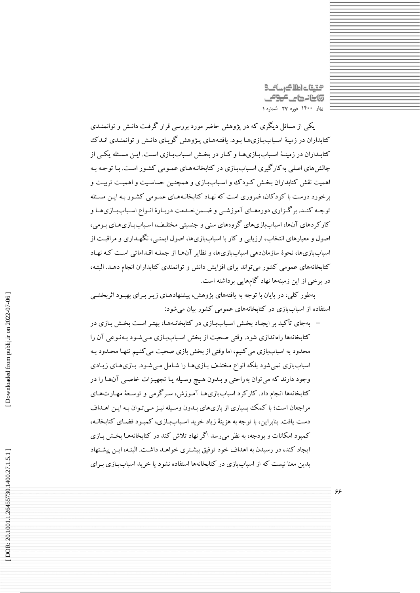محتيتات اطلاك رسانح **@ينانههای عودمی بهار 0011 دوره 72 شماره 0**

يکي از مسائل ديگری که در پژوهش حاضر مورد بررسي قرار گرفت دانـش و توانمنـدی كتابداران در زمينهٔ اسـباببازی هـا بـود. يافتـههـای پـژوهش گويـای دانـش و توانمنـدی انـدک كتابـداران در زمينـهٔ اسـباببـازی،هـا و كـار در بخـش اسـباببـازی اسـت. ايـن مسـئله يكـي از چالش های اصلی به كارگيری اسباببازی در كتابخانـههـای عمـومی كشـور اسـت. بـا توجـه بـه اهميت نقش كتابداران بخش كـودك و اسـباببازی و همچنـين حساسـيت و اهميـت تربيـت و برخورد درست با كودكان، ضروری است كه نهماد كتابخانمه همای عممومي كشمور بمه ايمن مسمئله توجه كنمد. برگزاری دورههای آموزشمي و ضممن خمدمت دربارهٔ انمواع اسباببازیهما و كاركردهای آنها، اسباببازیهای گروههای سنی و جنسیتی مختلـف، اسـباببـازیهـای بـومی، اصول و معيارهای انتخاب، ارزيابي و كار با اسباببازیها، اصول ايمنمي، نگهمداری و مراقبمت از اسباببازیها، نحوة سازماندهي اسباببازیها، و نظاير آنهما از جملمه اقمداماتي اسمت كمه نهماد كتابخانههای عمومي كشور ميتواند برای افزايش دانش و توانمندی كتابداران انجام دهمد. البتمه، در برخي از اين زمينهها نهاد گامهايي برداشته است.

بهطور كلي، در پايان با توجه به يافتههای پژوهش، پيشنهادهمای زيمر بمرای بهبمود ایربخشمي استفاده از اسباببازی در كتابخانههای عمومي كشور بيان ميشود:

– بهجای تأکید بر ایجـاد بخـش اسـباببـازی در کتابخانـههـا، بهتـر اسـت بخـش بـازی در كتابخانهها راهاندازی شود. وقتي صحبت از بخش اسباببازی مبي شود بـهنـوعي آن را محدود به اسباببازی مي كنيم، اما وقتي از بخش بازی صحبت مي كنـيم تنهـا محـدود بـه اسباببازی نمی شود بلکه انواع مختلـف بـازی هـا را شـامل مـی شـود. بـازی هـای زيـادی وجود دارند كه مي توان بهراحتي و بـدون هـيچ وسـيله يـا تجهيـزات خاصـي آن١هـا را در كتابخانهها انجام داد. كاركرد اسباببازیهما آمموزش، سمرگرمي و توسمعة مهمارت همای مراجعان است؛ با كمک بسياری از بازیهای بمدون وسميله نيمز ممي تموان بمه ايمن اهمداف دست يافت. بنابراين، با توجه به هزينهٔ زياد خريد اسـباببازی، كمبـود فضـای كتابخانـه، كمبود امکانات و بودجه، به نظر ميرسد اگر نهاد تالش كند در كتابخانههما بخمش بمازی ايجاد كند، در رسيدن به اهداف خود توفيق بيشمتری خواهمد داشمت. البتمه، ايمن پيشمنهاد بدين معنا نيست كه از اسباببازی در كتابخانهها استفاده نشود يا خريد اسباببمازی بمرای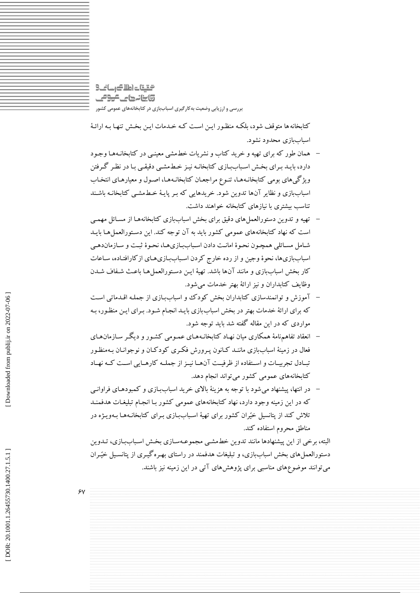التقيقات اطلاك رسانك @ينانههاي <del>كرو</del>مي **بررسی و ارزيابی وضعیت بهکارگیری اسباببازی در کتابخانههای عمومی کشور**

كتابخانهها متوقف شود، بلکمه منظمور ايمن اسمت كمه خمدمات ايمن بخمش تنهما بمه ارائمة اسباببازی محدود نشود.

- همان طور كه براي تهيه و خريد كتاب و نشريات خطمشي معينـي در كتابخانـههـا وجـود ÷ دارد، بايـد بـرای بخـش اسـباب[زی كتابخانـه نيـز خـطـمشـي دقيقـي بـا در نظـر گـرفتن ويژگيهای بومي كتابخانـههـا، تنـوع مراجعـان كتابخانـههـا، اصـول و معيارهـای انتخـاب اسباببازی و نظاير آنها تدوين شود. خريدهايي كه بـر پايـهٔ خـطـمشـي كتابخانـه باشـند تناسب بيشتری با نيازهای كتابخانه خواهند داشت.
- تهيه و تدوين دستورالعمل های دقيق برای بخش اسباببازی كتابخانههـا از مسـائل مهمـي ÷ است كه نهاد كتابخانههای عمومی كشور بايد به آن توجه كند. اين دسـتورالعمل هـا بايـد شامل مسائلي همچمون نحوة امانت دادن اسباببازیها، نحوة ثبت و سازماندهمي اسباببازیها، نحوهٔ وجین و از رده خارج كردن اسباببازیهای ازكارافتاده، ساعات كار بخش اسباببازی و مانند آنها باشد. تهيهٔ ايـن دسـتورالعملهـا باعـث شـفاف شـدن وظايف كتابداران و نيز ارائة بهتر خدمات ميشود.
- آموزش و توانمندسازی كتابداران بخش كودک و اسباببمازی از جملمه اقمدماتي اسمت كه برای ارائة خدمات بهتر در بخش اسباببازی بايمد انجمام شمود. بمرای ايمن منظمور، بمه مواردی كه در اين مقاله گفته شد بايد توجه شود.
- انعقاد تفاهمنامة همکاری ميان نهماد كتابخانمه همای عممومي كشمور و ديگمر سمازمان همای فعال در زمينهٔ اسباببازی ماننـد كـانون پـرورش فكـری كودكـان و نوجوانـان بـهمنظـور تبـادل تجربيـات و اسـتفاده از ظرفيـت آنهـا نيـز از جملـه كارهـايي اسـت كـه نهـاد كتابخانههای عمومي كشور ميتواند انجام دهد.
- در انتها، پيشنهاد ميشود با توجه به هزينة باالی خريد اسباببمازی و كمبودهمای فراوانمي كه در اين زمينه وجود دارد، نهاد كتابخانههای عمومی كشور بـا انجـام تبليغـات هدفمنـد تلاش كند از پتانسيل خيّران كشور برای تهيهٔ اسـباببازی بـرای كتابخانـههـا بـهويـژه در مناطق محروم استفاده كند.

البته، برخي از اين پيشنهادها مانند تدوين خطـمشـي مجموعـهسـازی بخـش اسـباببـازی، تــدوين دستورالعمل های بخش اسباببازی، و تبليغات هدفمند در راستای بهـرهگيـری از پتانسـيل خيّـران ميتوانند موضوعهای مناسبي برای پژوهشهای آتي در اين زمينه نيز باشند.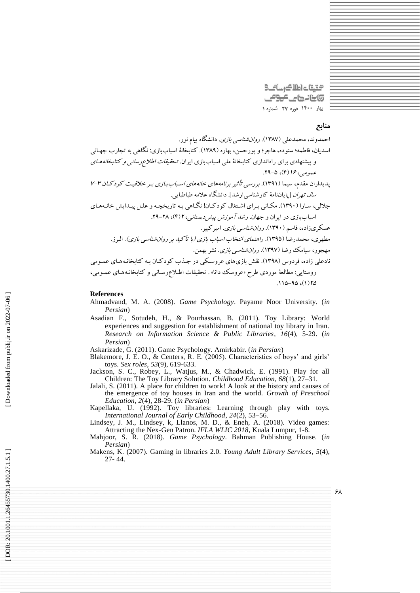التقات اطلاك رسانك وابنانهای کوکی **بهار 0011 دوره 72 شماره 0**

### **منابع**

احمدوند، محمدعلي (۱۳۸۷). *روان شناسي بازي*. دانشگاه پيام نور.

اسديان، فاطمه؛ ستوده، هاجر؛ و پورحسن، بهاره (١٣٨٩). كتابخانهٔ اسباببازی: نگاهی به تجارب جهـاني و پیشنهادی برای راهاندازی كتابخانهٔ ملی اسباببازی ایران *تحقیقات اطلاع رسانی و كتابخانههـای*<br>عم*ومی، ۱۶ (*۴)- ۲۹.<br>پدیداران مقدم، سیما (۱۳۹۱). *بررسی تأثیر برنامههای خانههای اسباببازی بـر خلاقیـت كودكـان ۳-۷* س*ال تهران* [پايانiامهٔ كارشناسي|رشد]. دانشگاه علامه طباطبايي. جلالي، سـارا ( ۱۳۹۰). مکـاني بـراي اشـتغال كودكـان! نگـاهي بـه تاريخچـه و علـل پيـدايش خانـههـاي سباببازی در ايران و جهان. *رشد آموزش پيشردبستاني، ۲ (۴*)، ۲۸–۲۹. عسکریزاده، قاسم (۱۳۹۰). *روانشناسی بازی*. امیر کبیر. مطهری، محمدرضا (۱۳۹۵). ر*اهنمای انتخاب اسباب بازی (با تأكید بر روان شناسی بازی)*. البرز. مهجور، سيامک رضا (١٣٩٧). *روان شناسي بازی.* نشر بهمن. نادعلي زاده، فردوس (١٣٩٨). نفش بازیهای عروسـکي در جـدب كود كـان بـه کتابخانـههـای عمـومی روستايي: مطالعة موردی طرح «عروسک دانا» . تحقيقات اطـلاعرسـاني و کتابخانـههـای عمـومي،<br>۱/۵/ ۹۵-۱۱۵.

#### **References**

- Ahmadvand, M. A. (2008). *Game Psychology*. Payame Noor University. (*in Persian* )
- Asadian F., Sotudeh, H., & Pourhassan, B. (2011). Toy Library: World experiences and suggestion for establishment of national toy library in Iran. *Research on Information Science & Public Libraries*, *16*(4), 5 -29. (*in Persian* )

Askarizade, G. (2011). Game Psychology. Amirkabir. (*in Persian* )

Blakemore, J. E. O., & Centers, R. E. (2005). Characteristics of boys' and girls' toys. *Sex roles* , *53*(9), 619 -633.

Jackson, S. C., Robey, L., Watjus, M., & Chadwick, E. (1991). Play for all Children: The Toy Library Solution. *Childhood Education*, *68*(1), 27 –31.

Jalali, S. (2011). A place for children to work! A look at the history and causes of the emergence of toy houses in Iran and the world. *Growth of Preschool Education*, *2*(4), 28 -29. (*in Persian* )

Kapellaka, U. (1992). Toy libraries: Learning through play with toys*. International Journal of Early Childhood*, *24*(2), 53 –56.

Lindsey, J. M., Lindsey, k, Llanos, M. D., & Eneh, A. (2018). Video games: Attracting the Nex -Gen Patron. *IFLA WLIC 2018*, Kuala Lumpur, 1 -8.

Mahjoor, S. R. (2018). *Game Psychology*. Bahman Publishing House. (*in Persian* )

Makens, K. (2007). Gaming in libraries 2.0. *Young Adult Library Services*, *5*(4), 27 - 44.

DOR: 20.1001.1.26455730.1400.27.1.5.1